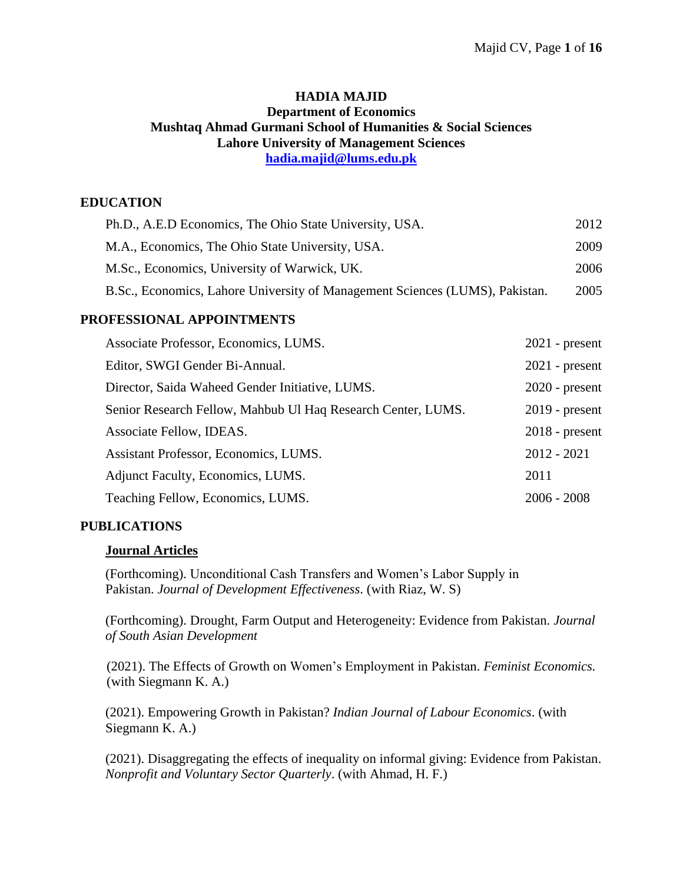#### **HADIA MAJID Department of Economics Mushtaq Ahmad Gurmani School of Humanities & Social Sciences Lahore University of Management Sciences [hadia.majid@lums.edu.pk](mailto:hadia.majid@lums.edu.pk)**

# **EDUCATION**

| Ph.D., A.E.D Economics, The Ohio State University, USA.                      | 2012 |
|------------------------------------------------------------------------------|------|
| M.A., Economics, The Ohio State University, USA.                             | 2009 |
| M.Sc., Economics, University of Warwick, UK.                                 | 2006 |
| B.Sc., Economics, Lahore University of Management Sciences (LUMS), Pakistan. | 2005 |

### **PROFESSIONAL APPOINTMENTS**

| Associate Professor, Economics, LUMS.                        | $2021$ - present |
|--------------------------------------------------------------|------------------|
| Editor, SWGI Gender Bi-Annual.                               | $2021$ - present |
| Director, Saida Waheed Gender Initiative, LUMS.              | $2020$ - present |
| Senior Research Fellow, Mahbub Ul Haq Research Center, LUMS. | $2019$ - present |
| Associate Fellow, IDEAS.                                     | $2018$ - present |
| Assistant Professor, Economics, LUMS.                        | $2012 - 2021$    |
| Adjunct Faculty, Economics, LUMS.                            | 2011             |
| Teaching Fellow, Economics, LUMS.                            | $2006 - 2008$    |

### **PUBLICATIONS**

### **Journal Articles**

(Forthcoming). Unconditional Cash Transfers and Women's Labor Supply in Pakistan. *Journal of Development Effectiveness*. (with Riaz, W. S)

(Forthcoming). Drought, Farm Output and Heterogeneity: Evidence from Pakistan. *Journal of South Asian Development*

(2021). The Effects of Growth on Women's Employment in Pakistan. *Feminist Economics.* (with Siegmann K. A.)

(2021). Empowering Growth in Pakistan? *Indian Journal of Labour Economics*. (with Siegmann K. A.)

(2021). Disaggregating the effects of inequality on informal giving: Evidence from Pakistan. *Nonprofit and Voluntary Sector Quarterly*. (with Ahmad, H. F.)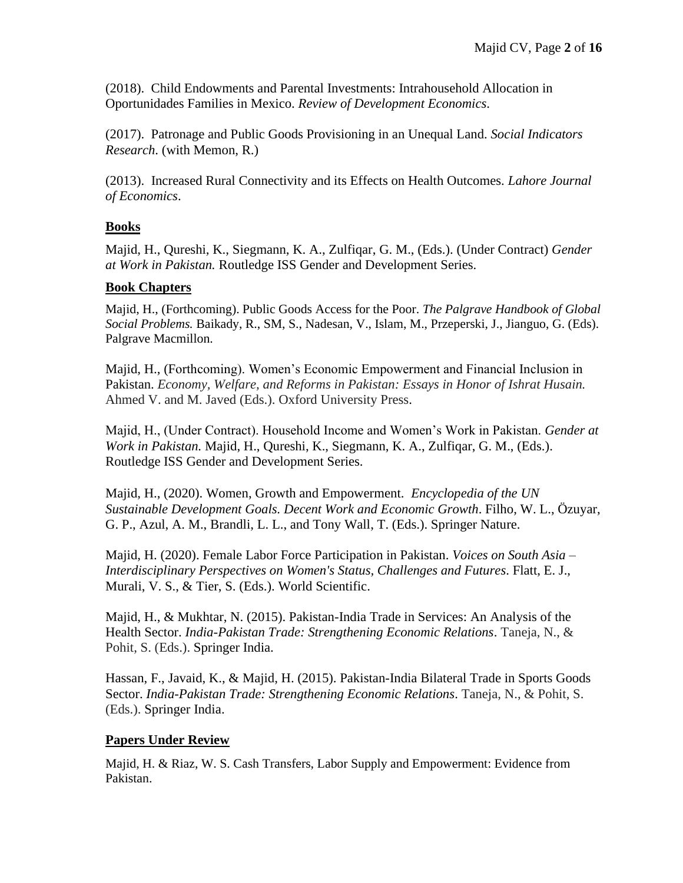(2018). Child Endowments and Parental Investments: Intrahousehold Allocation in Oportunidades Families in Mexico. *Review of Development Economics*.

(2017). Patronage and Public Goods Provisioning in an Unequal Land. *Social Indicators Research*. (with Memon, R.)

(2013). Increased Rural Connectivity and its Effects on Health Outcomes. *Lahore Journal of Economics*.

### **Books**

Majid, H., Qureshi, K., Siegmann, K. A., Zulfiqar, G. M., (Eds.). (Under Contract) *Gender at Work in Pakistan.* Routledge ISS Gender and Development Series.

### **Book Chapters**

Majid, H., (Forthcoming). Public Goods Access for the Poor. *The Palgrave Handbook of Global Social Problems.* Baikady, R., SM, S., Nadesan, V., Islam, M., Przeperski, J., Jianguo, G. (Eds). Palgrave Macmillon.

Majid, H., (Forthcoming). Women's Economic Empowerment and Financial Inclusion in Pakistan. *Economy, Welfare, and Reforms in Pakistan: Essays in Honor of Ishrat Husain.* Ahmed V. and M. Javed (Eds.). Oxford University Press.

Majid, H., (Under Contract). Household Income and Women's Work in Pakistan. *Gender at Work in Pakistan.* Majid, H., Qureshi, K., Siegmann, K. A., Zulfiqar, G. M., (Eds.). Routledge ISS Gender and Development Series.

Majid, H., (2020). Women, Growth and Empowerment. *[Encyclopedia](https://meteor.springer.com/project/dashboard.jsf?id=697&tab=About&auth_user=510009&auth_key=871742b6e75f46f4111bd26a12d5cf2f) of the UN Sustainable [Development](https://meteor.springer.com/project/dashboard.jsf?id=697&tab=About&auth_user=510009&auth_key=871742b6e75f46f4111bd26a12d5cf2f) Goals. Decent Work and Economic Growth*. Filho, W. L., Özuyar, G. P., Azul, A. M., Brandli, L. L., and Tony Wall, T. (Eds.). Springer Nature.

Majid, H. (2020). Female Labor Force Participation in Pakistan. *Voices on South Asia – Interdisciplinary Perspectives on Women's Status, Challenges and Futures*. Flatt, E. J., Murali, V. S., & Tier, S. (Eds.). World Scientific.

Majid, H., & Mukhtar, N. (2015). Pakistan-India Trade in Services: An Analysis of the Health Sector. *India-Pakistan Trade: Strengthening Economic Relations*. Taneja, N., & Pohit, S. (Eds.). Springer India.

Hassan, F., Javaid, K., & Majid, H. (2015). Pakistan-India Bilateral Trade in Sports Goods Sector. *India-Pakistan Trade: Strengthening Economic Relations*. Taneja, N., & Pohit, S. (Eds.). Springer India.

### **Papers Under Review**

Majid, H. & Riaz, W. S. Cash Transfers, Labor Supply and Empowerment: Evidence from Pakistan.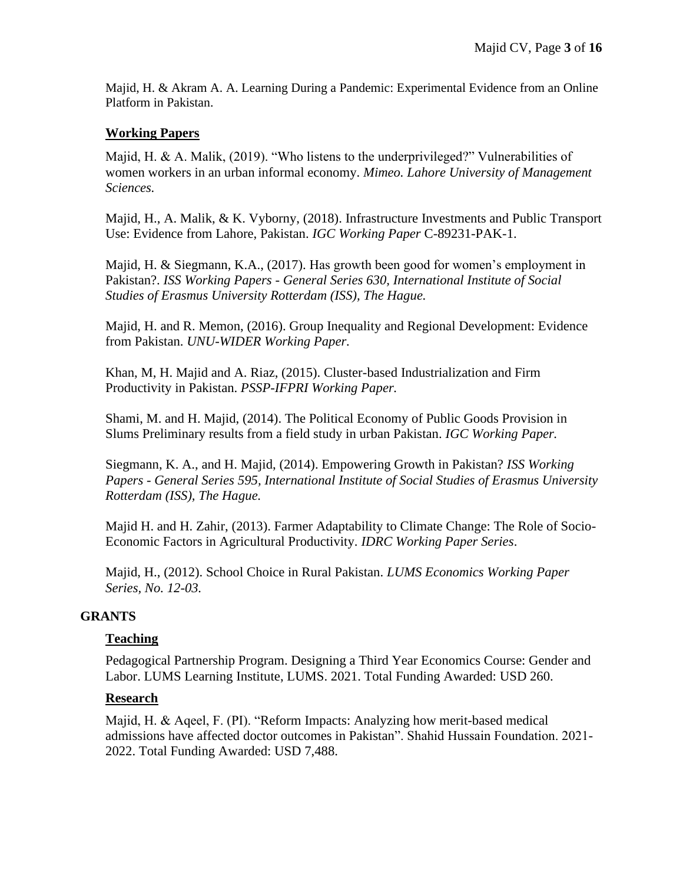Majid, H. & Akram A. A. Learning During a Pandemic: Experimental Evidence from an Online Platform in Pakistan.

### **Working Papers**

Majid, H. & A. Malik, (2019). "Who listens to the underprivileged?" Vulnerabilities of women workers in an urban informal economy. *Mimeo. Lahore University of Management Sciences.* 

Majid, H., A. Malik, & K. Vyborny, (2018). Infrastructure Investments and Public Transport Use: Evidence from Lahore, Pakistan. *IGC Working Paper* C-89231-PAK-1.

Majid, H. & Siegmann, K.A., (2017). [Has growth been good for women's employment in](https://ideas.repec.org/p/ems/euriss/99236.html)  [Pakistan?.](https://ideas.repec.org/p/ems/euriss/99236.html) *[ISS Working Papers -](https://ideas.repec.org/s/ems/euriss.html) General Series 630, International Institute of Social Studies of Erasmus University Rotterdam (ISS), The Hague.*

Majid, H. and R. Memon, (2016). Group Inequality and Regional Development: Evidence from Pakistan. *UNU-WIDER Working Paper.*

Khan, M, H. Majid and A. Riaz, (2015). Cluster-based Industrialization and Firm Productivity in Pakistan. *PSSP-IFPRI Working Paper.*

Shami, M. and H. Majid, (2014). The Political Economy of Public Goods Provision in Slums Preliminary results from a field study in urban Pakistan. *IGC Working Paper.*

Siegmann, K. A., and H. Majid, (2014). Empowering Growth in Pakistan? *[ISS Working](https://ideas.repec.org/s/ems/euriss.html)  Papers - [General Series](https://ideas.repec.org/s/ems/euriss.html) 595, International Institute of Social Studies of Erasmus University Rotterdam (ISS), The Hague.*

Majid H. and H. Zahir, (2013). Farmer Adaptability to Climate Change: The Role of Socio-Economic Factors in Agricultural Productivity. *IDRC Working Paper Series*.

Majid, H., (2012). School Choice in Rural Pakistan. *LUMS Economics Working Paper Series, No. 12-03.*

### **GRANTS**

#### **Teaching**

Pedagogical Partnership Program. Designing a Third Year Economics Course: Gender and Labor. LUMS Learning Institute, LUMS. 2021. Total Funding Awarded: USD 260.

#### **Research**

Majid, H. & Aqeel, F. (PI). "Reform Impacts: Analyzing how merit-based medical admissions have affected doctor outcomes in Pakistan". Shahid Hussain Foundation. 2021- 2022. Total Funding Awarded: USD 7,488.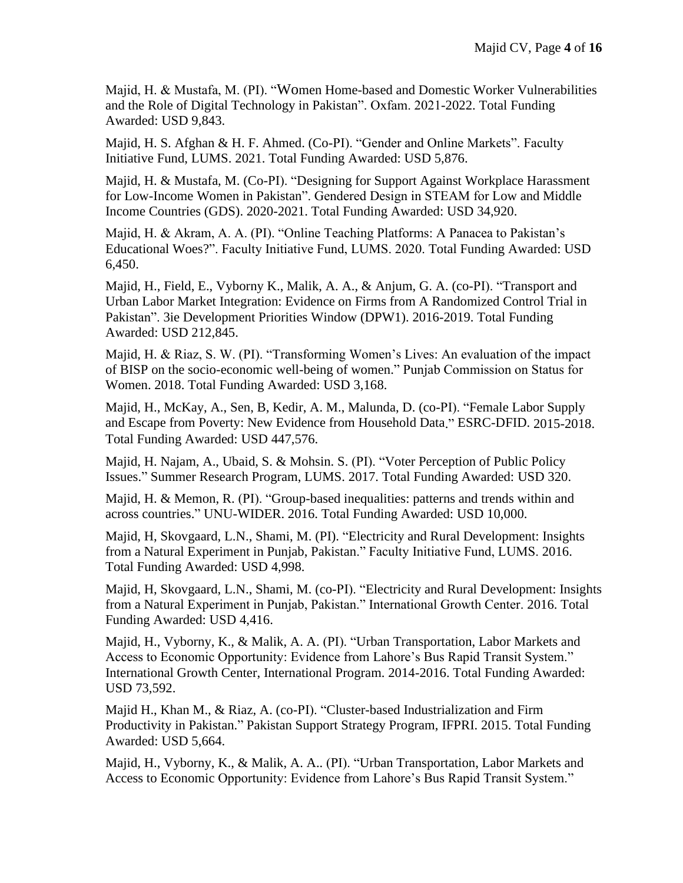Majid, H. & Mustafa, M. (PI). "Women Home-based and Domestic Worker Vulnerabilities and the Role of Digital Technology in Pakistan". Oxfam. 2021-2022. Total Funding Awarded: USD 9,843.

Majid, H. S. Afghan & H. F. Ahmed. (Co-PI). "Gender and Online Markets". Faculty Initiative Fund, LUMS. 2021. Total Funding Awarded: USD 5,876.

Majid, H. & Mustafa, M. (Co-PI). "Designing for Support Against Workplace Harassment for Low-Income Women in Pakistan". Gendered Design in STEAM for Low and Middle Income Countries (GDS). 2020-2021. Total Funding Awarded: USD 34,920.

Majid, H. & Akram, A. A. (PI). "Online Teaching Platforms: A Panacea to Pakistan's Educational Woes?". Faculty Initiative Fund, LUMS. 2020. Total Funding Awarded: USD 6,450.

Majid, H., Field, E., Vyborny K., Malik, A. A., & Anjum, G. A. (co-PI). "Transport and Urban Labor Market Integration: Evidence on Firms from A Randomized Control Trial in Pakistan". 3ie Development Priorities Window (DPW1). 2016-2019. Total Funding Awarded: USD 212,845.

Majid, H. & Riaz, S. W. (PI). "Transforming Women's Lives: An evaluation of the impact of BISP on the socio-economic well-being of women." Punjab Commission on Status for Women. 2018. Total Funding Awarded: USD 3,168.

Majid, H., McKay, A., Sen, B, Kedir, A. M., Malunda, D. (co-PI). "Female Labor Supply and Escape from Poverty: New Evidence from Household Data." ESRC-DFID. 2015-2018. Total Funding Awarded: USD 447,576.

Majid, H. Najam, A., Ubaid, S. & Mohsin. S. (PI). "Voter Perception of Public Policy Issues." Summer Research Program, LUMS. 2017. Total Funding Awarded: USD 320.

Majid, H. & Memon, R. (PI). "Group-based inequalities: patterns and trends within and across countries." UNU-WIDER. 2016. Total Funding Awarded: USD 10,000.

Majid, H, Skovgaard, L.N., Shami, M. (PI). "Electricity and Rural Development: Insights from a Natural Experiment in Punjab, Pakistan." Faculty Initiative Fund, LUMS. 2016. Total Funding Awarded: USD 4,998.

Majid, H, Skovgaard, L.N., Shami, M. (co-PI). "Electricity and Rural Development: Insights from a Natural Experiment in Punjab, Pakistan." International Growth Center. 2016. Total Funding Awarded: USD 4,416.

Majid, H., Vyborny, K., & Malik, A. A. (PI). "Urban Transportation, Labor Markets and Access to Economic Opportunity: Evidence from Lahore's Bus Rapid Transit System." International Growth Center, International Program. 2014-2016. Total Funding Awarded: USD 73,592.

Majid H., Khan M., & Riaz, A. (co-PI). "Cluster-based Industrialization and Firm Productivity in Pakistan." Pakistan Support Strategy Program, IFPRI. 2015. Total Funding Awarded: USD 5,664.

Majid, H., Vyborny, K., & Malik, A. A.. (PI). "Urban Transportation, Labor Markets and Access to Economic Opportunity: Evidence from Lahore's Bus Rapid Transit System."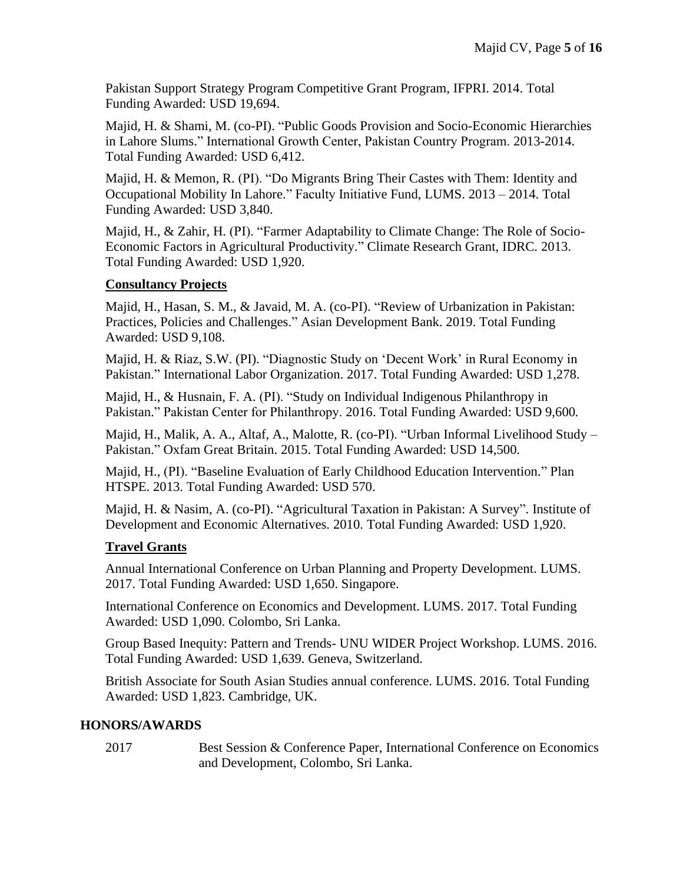Pakistan Support Strategy Program Competitive Grant Program, IFPRI. 2014. Total Funding Awarded: USD 19,694.

Majid, H. & Shami, M. (co-PI). "Public Goods Provision and Socio-Economic Hierarchies in Lahore Slums." International Growth Center, Pakistan Country Program. 2013-2014. Total Funding Awarded: USD 6,412.

Majid, H. & Memon, R. (PI). "Do Migrants Bring Their Castes with Them: Identity and Occupational Mobility In Lahore." Faculty Initiative Fund, LUMS. 2013 – 2014. Total Funding Awarded: USD 3,840.

Majid, H., & Zahir, H. (PI). "Farmer Adaptability to Climate Change: The Role of Socio-Economic Factors in Agricultural Productivity." Climate Research Grant, IDRC. 2013. Total Funding Awarded: USD 1,920.

# **Consultancy Projects**

Majid, H., Hasan, S. M., & Javaid, M. A. (co-PI). "Review of Urbanization in Pakistan: Practices, Policies and Challenges." Asian Development Bank. 2019. Total Funding Awarded: USD 9,108.

Majid, H. & Riaz, S.W. (PI). "Diagnostic Study on 'Decent Work' in Rural Economy in Pakistan." International Labor Organization. 2017. Total Funding Awarded: USD 1,278.

Majid, H., & Husnain, F. A. (PI). "Study on Individual Indigenous Philanthropy in Pakistan." Pakistan Center for Philanthropy. 2016. Total Funding Awarded: USD 9,600*.*

Majid, H., Malik, A. A., Altaf, A., Malotte, R. (co-PI). "Urban Informal Livelihood Study – Pakistan." Oxfam Great Britain. 2015. Total Funding Awarded: USD 14,500*.* 

Majid, H., (PI). "Baseline Evaluation of Early Childhood Education Intervention." Plan HTSPE. 2013. Total Funding Awarded: USD 570.

Majid, H. & Nasim, A. (co-PI). "Agricultural Taxation in Pakistan: A Survey". Institute of Development and Economic Alternatives. 2010. Total Funding Awarded: USD 1,920.

# **Travel Grants**

Annual International Conference on Urban Planning and Property Development. LUMS. 2017. Total Funding Awarded: USD 1,650. Singapore.

International Conference on Economics and Development. LUMS. 2017. Total Funding Awarded: USD 1,090. Colombo, Sri Lanka.

Group Based Inequity: Pattern and Trends- UNU WIDER Project Workshop. LUMS. 2016. Total Funding Awarded: USD 1,639. Geneva, Switzerland.

British Associate for South Asian Studies annual conference. LUMS. 2016. Total Funding Awarded: USD 1,823. Cambridge, UK.

### **HONORS/AWARDS**

2017 Best Session & Conference Paper, International Conference on Economics and Development, Colombo, Sri Lanka.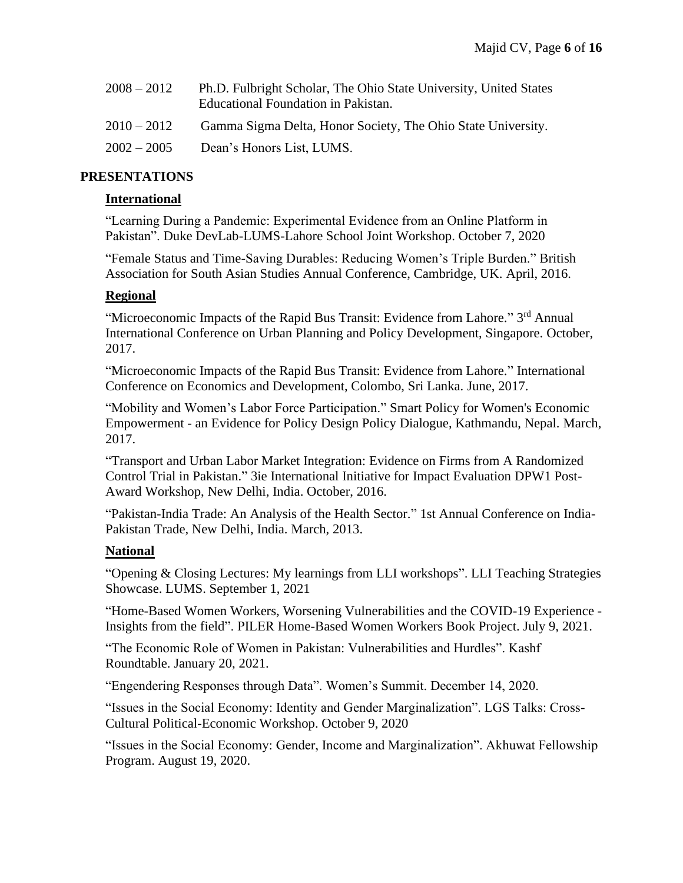| $2008 - 2012$ | Ph.D. Fulbright Scholar, The Ohio State University, United States<br>Educational Foundation in Pakistan. |
|---------------|----------------------------------------------------------------------------------------------------------|
| $2010 - 2012$ | Gamma Sigma Delta, Honor Society, The Ohio State University.                                             |
| $2002 - 2005$ | Dean's Honors List, LUMS.                                                                                |

### **PRESENTATIONS**

#### **International**

"Learning During a Pandemic: Experimental Evidence from an Online Platform in Pakistan". Duke DevLab-LUMS-Lahore School Joint Workshop. October 7, 2020

"Female Status and Time-Saving Durables: Reducing Women's Triple Burden." British Association for South Asian Studies Annual Conference, Cambridge, UK. April, 2016.

#### **Regional**

"Microeconomic Impacts of the Rapid Bus Transit: Evidence from Lahore." 3<sup>rd</sup> Annual International Conference on Urban Planning and Policy Development, Singapore. October, 2017.

"Microeconomic Impacts of the Rapid Bus Transit: Evidence from Lahore." International Conference on Economics and Development, Colombo, Sri Lanka. June, 2017.

"Mobility and Women's Labor Force Participation." Smart Policy for Women's Economic Empowerment - an Evidence for Policy Design Policy Dialogue, Kathmandu, Nepal. March, 2017.

"Transport and Urban Labor Market Integration: Evidence on Firms from A Randomized Control Trial in Pakistan." 3ie International Initiative for Impact Evaluation DPW1 Post-Award Workshop, New Delhi, India. October, 2016.

"Pakistan-India Trade: An Analysis of the Health Sector." 1st Annual Conference on India-Pakistan Trade, New Delhi, India. March, 2013.

#### **National**

"Opening & Closing Lectures: My learnings from LLI workshops". LLI Teaching Strategies Showcase. LUMS. September 1, 2021

"Home-Based Women Workers, Worsening Vulnerabilities and the COVID-19 Experience - Insights from the field". PILER Home-Based Women Workers Book Project. July 9, 2021.

"The Economic Role of Women in Pakistan: Vulnerabilities and Hurdles". Kashf Roundtable. January 20, 2021.

"Engendering Responses through Data". Women's Summit. December 14, 2020.

"Issues in the Social Economy: Identity and Gender Marginalization". LGS Talks: Cross-Cultural Political-Economic Workshop. October 9, 2020

"Issues in the Social Economy: Gender, Income and Marginalization". Akhuwat Fellowship Program. August 19, 2020.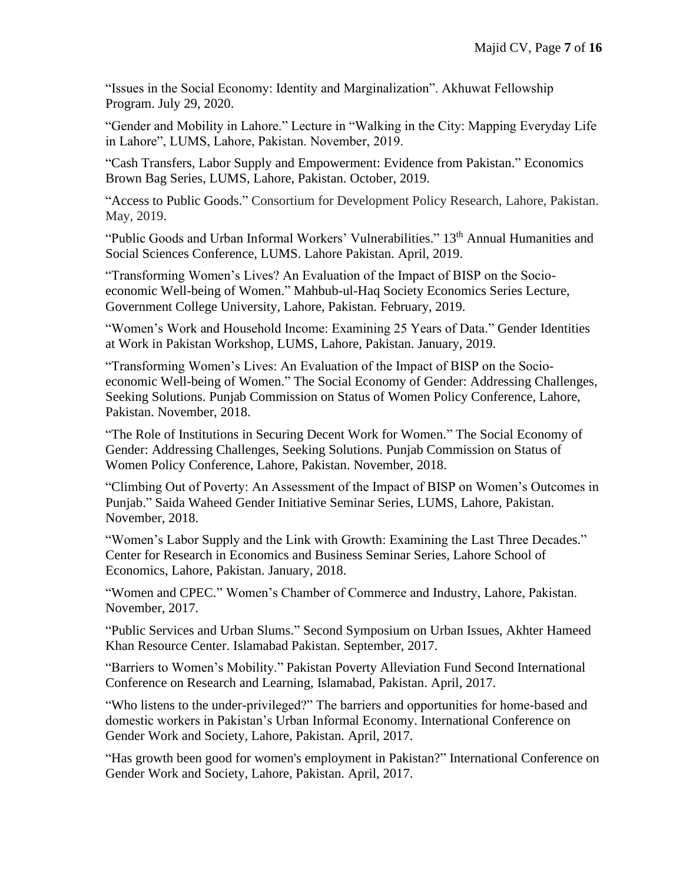"Issues in the Social Economy: Identity and Marginalization". Akhuwat Fellowship Program. July 29, 2020.

"Gender and Mobility in Lahore." Lecture in "Walking in the City: Mapping Everyday Life in Lahore", LUMS, Lahore, Pakistan. November, 2019.

"Cash Transfers, Labor Supply and Empowerment: Evidence from Pakistan." Economics Brown Bag Series, LUMS, Lahore, Pakistan. October, 2019.

"Access to Public Goods." Consortium for Development Policy Research, Lahore, Pakistan. May, 2019.

"Public Goods and Urban Informal Workers' Vulnerabilities." 13<sup>th</sup> Annual Humanities and Social Sciences Conference, LUMS. Lahore Pakistan. April, 2019.

"Transforming Women's Lives? An Evaluation of the Impact of BISP on the Socioeconomic Well-being of Women." Mahbub-ul-Haq Society Economics Series Lecture, Government College University, Lahore, Pakistan. February, 2019.

"Women's Work and Household Income: Examining 25 Years of Data." Gender Identities at Work in Pakistan Workshop, LUMS, Lahore, Pakistan. January, 2019.

"Transforming Women's Lives: An Evaluation of the Impact of BISP on the Socioeconomic Well-being of Women." The Social Economy of Gender: Addressing Challenges, Seeking Solutions. Punjab Commission on Status of Women Policy Conference, Lahore, Pakistan. November, 2018.

"The Role of Institutions in Securing Decent Work for Women." The Social Economy of Gender: Addressing Challenges, Seeking Solutions. Punjab Commission on Status of Women Policy Conference, Lahore, Pakistan. November, 2018.

"Climbing Out of Poverty: An Assessment of the Impact of BISP on Women's Outcomes in Punjab." Saida Waheed Gender Initiative Seminar Series, LUMS, Lahore, Pakistan. November, 2018.

"Women's Labor Supply and the Link with Growth: Examining the Last Three Decades." Center for Research in Economics and Business Seminar Series, Lahore School of Economics, Lahore, Pakistan. January, 2018.

"Women and CPEC." Women's Chamber of Commerce and Industry, Lahore, Pakistan. November, 2017.

"Public Services and Urban Slums." Second Symposium on Urban Issues, Akhter Hameed Khan Resource Center. Islamabad Pakistan. September, 2017.

"Barriers to Women's Mobility." Pakistan Poverty Alleviation Fund Second International Conference on Research and Learning, Islamabad, Pakistan. April, 2017.

"Who listens to the under-privileged?" The barriers and opportunities for home-based and domestic workers in Pakistan's Urban Informal Economy. International Conference on Gender Work and Society, Lahore, Pakistan. April, 2017.

"Has growth been good for women's employment in Pakistan?" International Conference on Gender Work and Society, Lahore, Pakistan. April, 2017.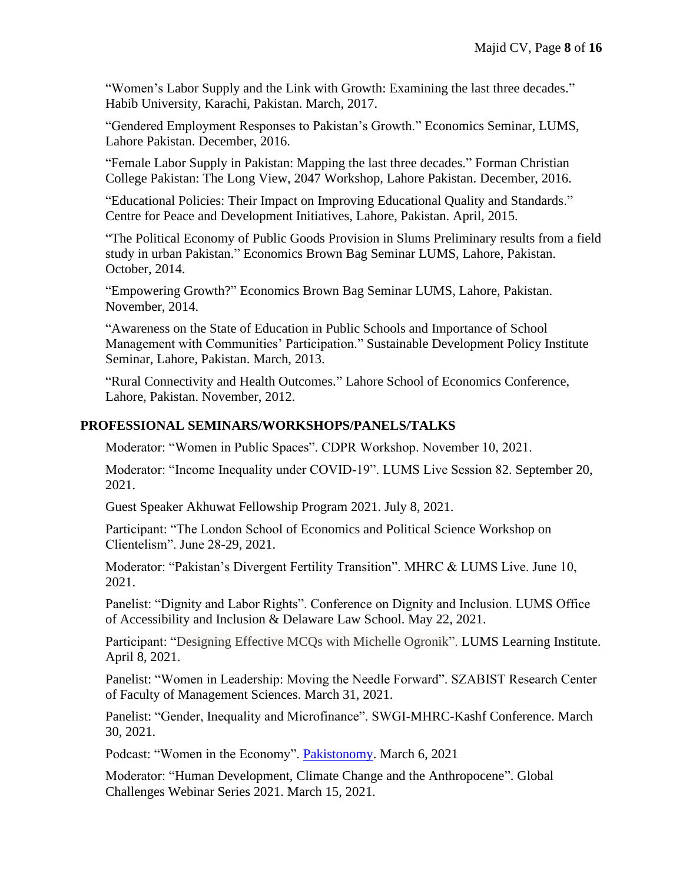"Women's Labor Supply and the Link with Growth: Examining the last three decades." Habib University, Karachi, Pakistan. March, 2017.

"Gendered Employment Responses to Pakistan's Growth." Economics Seminar, LUMS, Lahore Pakistan. December, 2016.

"Female Labor Supply in Pakistan: Mapping the last three decades." Forman Christian College Pakistan: The Long View, 2047 Workshop, Lahore Pakistan. December, 2016.

"Educational Policies: Their Impact on Improving Educational Quality and Standards." Centre for Peace and Development Initiatives, Lahore, Pakistan. April, 2015.

"The Political Economy of Public Goods Provision in Slums Preliminary results from a field study in urban Pakistan." Economics Brown Bag Seminar LUMS, Lahore, Pakistan. October, 2014.

"Empowering Growth?" Economics Brown Bag Seminar LUMS, Lahore, Pakistan. November, 2014.

"Awareness on the State of Education in Public Schools and Importance of School Management with Communities' Participation." Sustainable Development Policy Institute Seminar, Lahore, Pakistan. March, 2013.

"Rural Connectivity and Health Outcomes." Lahore School of Economics Conference, Lahore, Pakistan. November, 2012.

### **PROFESSIONAL SEMINARS/WORKSHOPS/PANELS/TALKS**

Moderator: "Women in Public Spaces". CDPR Workshop. November 10, 2021.

Moderator: "Income Inequality under COVID-19". LUMS Live Session 82. September 20, 2021.

Guest Speaker Akhuwat Fellowship Program 2021. July 8, 2021.

Participant: "The London School of Economics and Political Science Workshop on Clientelism". June 28-29, 2021.

Moderator: "Pakistan's Divergent Fertility Transition". MHRC & LUMS Live. June 10, 2021.

Panelist: "Dignity and Labor Rights". Conference on Dignity and Inclusion. LUMS Office of Accessibility and Inclusion & Delaware Law School. May 22, 2021.

Participant: "Designing Effective MCQs with Michelle Ogronik". LUMS Learning Institute. April 8, 2021.

Panelist: "Women in Leadership: Moving the Needle Forward". SZABIST Research Center of Faculty of Management Sciences. March 31, 2021.

Panelist: "Gender, Inequality and Microfinance". SWGI-MHRC-Kashf Conference. March 30, 2021.

Podcast: "Women in the Economy". [Pakistonomy.](https://www.youtube.com/watch?v=lis15RkmrZw) March 6, 2021

Moderator: "Human Development, Climate Change and the Anthropocene". Global Challenges Webinar Series 2021. March 15, 2021.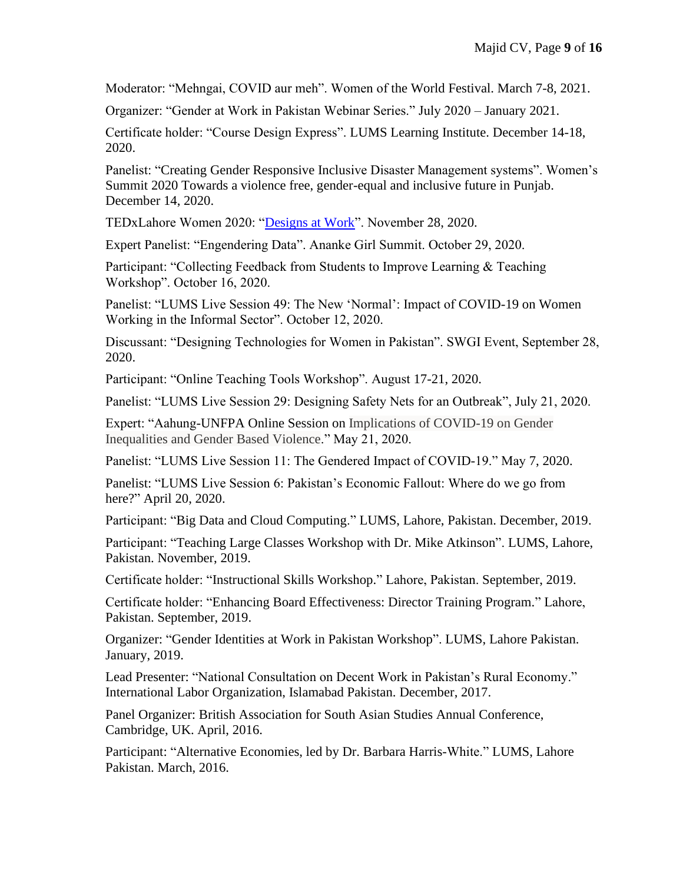Moderator: "Mehngai, COVID aur meh". Women of the World Festival. March 7-8, 2021.

Organizer: "Gender at Work in Pakistan Webinar Series." July 2020 – January 2021.

Certificate holder: "Course Design Express". LUMS Learning Institute. December 14-18, 2020.

Panelist: "Creating Gender Responsive Inclusive Disaster Management systems". Women's Summit 2020 Towards a violence free, gender-equal and inclusive future in Punjab. December 14, 2020.

TEDxLahore Women 2020: ["Designs at Work"](https://www.youtube.com/watch?v=sOEoCjkoAc4). November 28, 2020.

Expert Panelist: "Engendering Data". Ananke Girl Summit. October 29, 2020.

Participant: "Collecting Feedback from Students to Improve Learning & Teaching Workshop". October 16, 2020.

Panelist: "LUMS Live Session 49: The New 'Normal': Impact of COVID-19 on Women Working in the Informal Sector". October 12, 2020.

Discussant: "Designing Technologies for Women in Pakistan". SWGI Event, September 28, 2020.

Participant: "Online Teaching Tools Workshop". August 17-21, 2020.

Panelist: "LUMS Live Session 29: Designing Safety Nets for an Outbreak", July 21, 2020.

Expert: "Aahung-UNFPA Online Session on Implications of COVID-19 on Gender Inequalities and Gender Based Violence." May 21, 2020.

Panelist: "LUMS Live Session 11: The Gendered Impact of COVID-19." May 7, 2020.

Panelist: "LUMS Live Session 6: Pakistan's Economic Fallout: Where do we go from here?" April 20, 2020.

Participant: "Big Data and Cloud Computing." LUMS, Lahore, Pakistan. December, 2019.

Participant: "Teaching Large Classes Workshop with Dr. Mike Atkinson". LUMS, Lahore, Pakistan. November, 2019.

Certificate holder: "Instructional Skills Workshop." Lahore, Pakistan. September, 2019.

Certificate holder: "Enhancing Board Effectiveness: Director Training Program." Lahore, Pakistan. September, 2019.

Organizer: "Gender Identities at Work in Pakistan Workshop". LUMS, Lahore Pakistan. January, 2019.

Lead Presenter: "National Consultation on Decent Work in Pakistan's Rural Economy." International Labor Organization, Islamabad Pakistan. December, 2017.

Panel Organizer: British Association for South Asian Studies Annual Conference, Cambridge, UK. April, 2016.

Participant: "Alternative Economies, led by Dr. Barbara Harris-White." LUMS, Lahore Pakistan. March, 2016.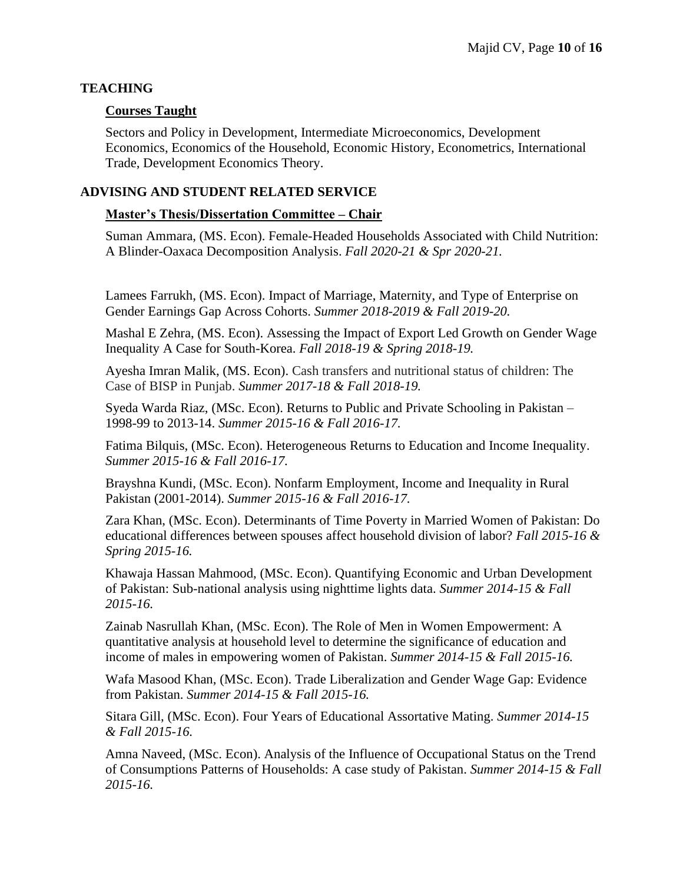### **TEACHING**

#### **Courses Taught**

Sectors and Policy in Development, Intermediate Microeconomics, Development Economics, Economics of the Household, Economic History, Econometrics, International Trade, Development Economics Theory.

#### **ADVISING AND STUDENT RELATED SERVICE**

#### **Master's Thesis/Dissertation Committee – Chair**

Suman Ammara, (MS. Econ). Female-Headed Households Associated with Child Nutrition: A Blinder-Oaxaca Decomposition Analysis. *Fall 2020-21 & Spr 2020-21.*

Lamees Farrukh, (MS. Econ). Impact of Marriage, Maternity, and Type of Enterprise on Gender Earnings Gap Across Cohorts. *Summer 2018-2019 & Fall 2019-20.*

Mashal E Zehra, (MS. Econ). Assessing the Impact of Export Led Growth on Gender Wage Inequality A Case for South-Korea. *Fall 2018-19 & Spring 2018-19.* 

Ayesha Imran Malik, (MS. Econ). Cash transfers and nutritional status of children: The Case of BISP in Punjab. *Summer 2017-18 & Fall 2018-19.* 

Syeda Warda Riaz, (MSc. Econ). Returns to Public and Private Schooling in Pakistan – 1998-99 to 2013-14. *Summer 2015-16 & Fall 2016-17.* 

Fatima Bilquis, (MSc. Econ). Heterogeneous Returns to Education and Income Inequality. *Summer 2015-16 & Fall 2016-17.*

Brayshna Kundi, (MSc. Econ). Nonfarm Employment, Income and Inequality in Rural Pakistan (2001-2014). *Summer 2015-16 & Fall 2016-17.*

Zara Khan, (MSc. Econ). Determinants of Time Poverty in Married Women of Pakistan: Do educational differences between spouses affect household division of labor? *Fall 2015-16 & Spring 2015-16.*

Khawaja Hassan Mahmood, (MSc. Econ). Quantifying Economic and Urban Development of Pakistan: Sub-national analysis using nighttime lights data. *Summer 2014-15 & Fall 2015-16.* 

Zainab Nasrullah Khan, (MSc. Econ). The Role of Men in Women Empowerment: A quantitative analysis at household level to determine the significance of education and income of males in empowering women of Pakistan. *Summer 2014-15 & Fall 2015-16.*

Wafa Masood Khan, (MSc. Econ). Trade Liberalization and Gender Wage Gap: Evidence from Pakistan. *Summer 2014-15 & Fall 2015-16.*

Sitara Gill, (MSc. Econ). Four Years of Educational Assortative Mating. *Summer 2014-15 & Fall 2015-16.* 

Amna Naveed, (MSc. Econ). Analysis of the Influence of Occupational Status on the Trend of Consumptions Patterns of Households: A case study of Pakistan. *Summer 2014-15 & Fall 2015-16.*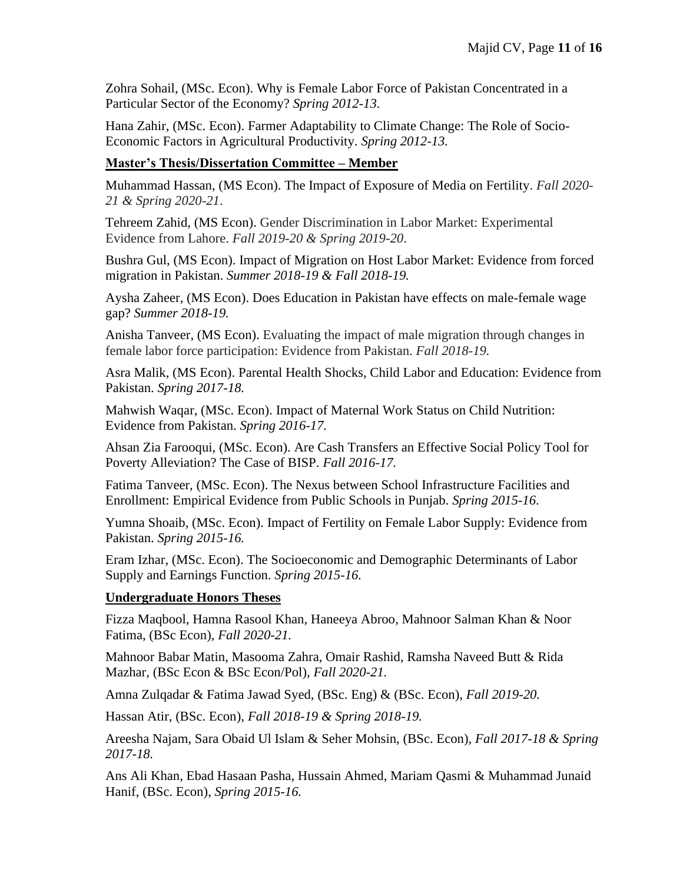Zohra Sohail, (MSc. Econ). Why is Female Labor Force of Pakistan Concentrated in a Particular Sector of the Economy? *Spring 2012-13.* 

Hana Zahir, (MSc. Econ). Farmer Adaptability to Climate Change: The Role of Socio-Economic Factors in Agricultural Productivity. *Spring 2012-13.*

### **Master's Thesis/Dissertation Committee – Member**

Muhammad Hassan, (MS Econ). The Impact of Exposure of Media on Fertility. *Fall 2020- 21 & Spring 2020-21*.

Tehreem Zahid, (MS Econ). Gender Discrimination in Labor Market: Experimental Evidence from Lahore. *Fall 2019-20 & Spring 2019-20*.

Bushra Gul, (MS Econ). Impact of Migration on Host Labor Market: Evidence from forced migration in Pakistan. *Summer 2018-19 & Fall 2018-19.*

Aysha Zaheer, (MS Econ). Does Education in Pakistan have effects on male-female wage gap? *Summer 2018-19.*

Anisha Tanveer, (MS Econ). Evaluating the impact of male migration through changes in female labor force participation: Evidence from Pakistan. *Fall 2018-19.*

Asra Malik, (MS Econ). Parental Health Shocks, Child Labor and Education: Evidence from Pakistan. *Spring 2017-18.*

Mahwish Waqar, (MSc. Econ). Impact of Maternal Work Status on Child Nutrition: Evidence from Pakistan. *Spring 2016-17.*

Ahsan Zia Farooqui, (MSc. Econ). Are Cash Transfers an Effective Social Policy Tool for Poverty Alleviation? The Case of BISP. *Fall 2016-17.* 

Fatima Tanveer, (MSc. Econ). The Nexus between School Infrastructure Facilities and Enrollment: Empirical Evidence from Public Schools in Punjab. *Spring 2015-16*.

Yumna Shoaib, (MSc. Econ). Impact of Fertility on Female Labor Supply: Evidence from Pakistan. *Spring 2015-16.* 

Eram Izhar, (MSc. Econ). The Socioeconomic and Demographic Determinants of Labor Supply and Earnings Function. *Spring 2015-16.*

#### **Undergraduate Honors Theses**

Fizza Maqbool, Hamna Rasool Khan, Haneeya Abroo, Mahnoor Salman Khan & Noor Fatima, (BSc Econ), *Fall 2020-21.* 

Mahnoor Babar Matin, Masooma Zahra, Omair Rashid, Ramsha Naveed Butt & Rida Mazhar, (BSc Econ & BSc Econ/Pol), *Fall 2020-21.* 

Amna Zulqadar & Fatima Jawad Syed, (BSc. Eng) & (BSc. Econ), *Fall 2019-20.* 

Hassan Atir, (BSc. Econ), *Fall 2018-19 & Spring 2018-19.* 

Areesha Najam, Sara Obaid Ul Islam & Seher Mohsin, (BSc. Econ), *Fall 2017-18 & Spring 2017-18.*

Ans Ali Khan, Ebad Hasaan Pasha, Hussain Ahmed, Mariam Qasmi & Muhammad Junaid Hanif, (BSc. Econ), *Spring 2015-16.*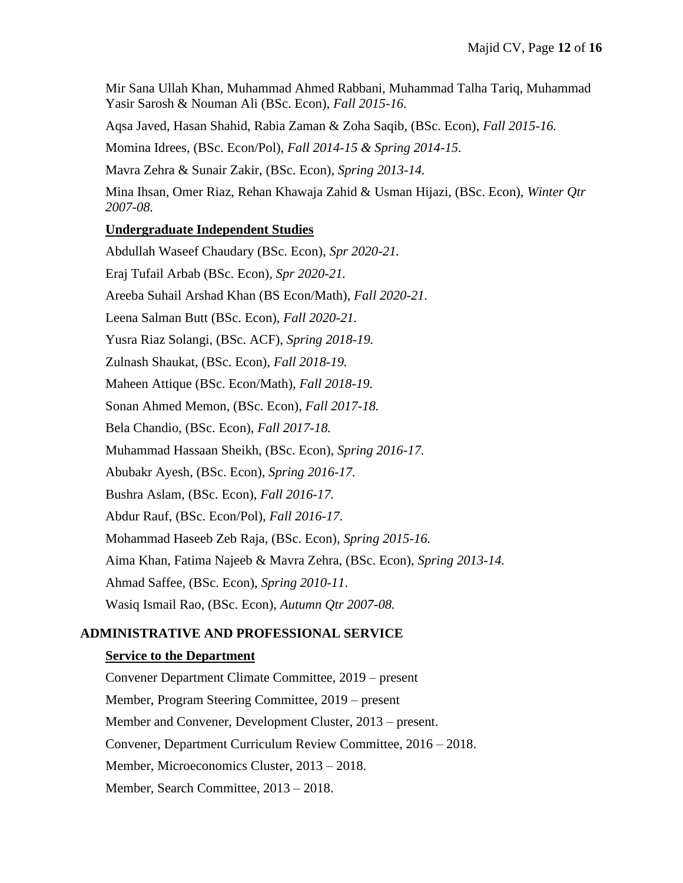Mir Sana Ullah Khan, Muhammad Ahmed Rabbani, Muhammad Talha Tariq, Muhammad Yasir Sarosh & Nouman Ali (BSc. Econ), *Fall 2015-16.* 

Aqsa Javed, Hasan Shahid, Rabia Zaman & Zoha Saqib, (BSc. Econ), *Fall 2015-16.* 

Momina Idrees, (BSc. Econ/Pol), *Fall 2014-15 & Spring 2014-15.*

Mavra Zehra & Sunair Zakir, (BSc. Econ), *Spring 2013-14.* 

Mina Ihsan, Omer Riaz, Rehan Khawaja Zahid & Usman Hijazi, (BSc. Econ), *Winter Qtr 2007-08.*

# **Undergraduate Independent Studies**

Abdullah Waseef Chaudary (BSc. Econ), *Spr 2020-21.* Eraj Tufail Arbab (BSc. Econ), *Spr 2020-21.* Areeba Suhail Arshad Khan (BS Econ/Math), *Fall 2020-21.* Leena Salman Butt (BSc. Econ), *Fall 2020-21.* Yusra Riaz Solangi, (BSc. ACF), *Spring 2018-19.* Zulnash Shaukat, (BSc. Econ), *Fall 2018-19.* Maheen Attique (BSc. Econ/Math), *Fall 2018-19.* Sonan Ahmed Memon, (BSc. Econ), *Fall 2017-18.* Bela Chandio, (BSc. Econ), *Fall 2017-18.* Muhammad Hassaan Sheikh, (BSc. Econ), *Spring 2016-17.* Abubakr Ayesh, (BSc. Econ), *Spring 2016-17.*  Bushra Aslam, (BSc. Econ), *Fall 2016-17.*  Abdur Rauf, (BSc. Econ/Pol), *Fall 2016-17.*  Mohammad Haseeb Zeb Raja, (BSc. Econ), *Spring 2015-16.* Aima Khan, Fatima Najeeb & Mavra Zehra, (BSc. Econ), *Spring 2013-14.* Ahmad Saffee, (BSc. Econ), *Spring 2010-11*. Wasiq Ismail Rao, (BSc. Econ), *Autumn Qtr 2007-08.*

# **ADMINISTRATIVE AND PROFESSIONAL SERVICE**

### **Service to the Department**

Convener Department Climate Committee, 2019 – present Member, Program Steering Committee, 2019 – present Member and Convener, Development Cluster, 2013 – present. Convener, Department Curriculum Review Committee, 2016 – 2018. Member, Microeconomics Cluster, 2013 – 2018. Member, Search Committee, 2013 – 2018.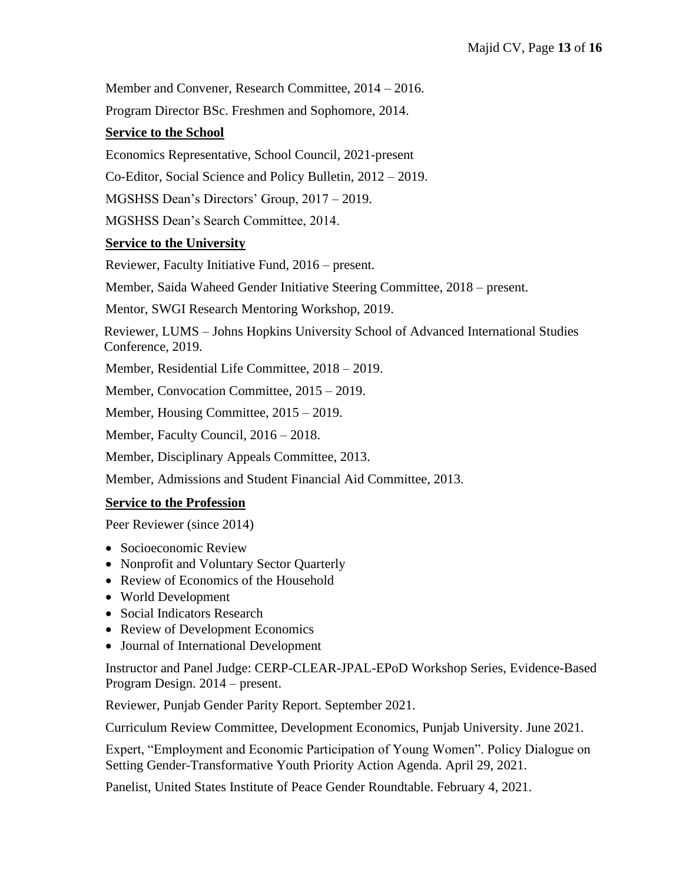Member and Convener, Research Committee, 2014 – 2016.

Program Director BSc. Freshmen and Sophomore, 2014.

# **Service to the School**

Economics Representative, School Council, 2021-present

Co-Editor, Social Science and Policy Bulletin, 2012 – 2019.

MGSHSS Dean's Directors' Group, 2017 – 2019.

MGSHSS Dean's Search Committee, 2014.

# **Service to the University**

Reviewer, Faculty Initiative Fund, 2016 – present.

Member, Saida Waheed Gender Initiative Steering Committee, 2018 – present.

Mentor, SWGI Research Mentoring Workshop, 2019.

Reviewer, LUMS – Johns Hopkins University School of Advanced International Studies Conference, 2019.

Member, Residential Life Committee, 2018 – 2019.

Member, Convocation Committee, 2015 – 2019.

Member, Housing Committee, 2015 – 2019.

Member, Faculty Council, 2016 – 2018.

Member, Disciplinary Appeals Committee, 2013.

Member, Admissions and Student Financial Aid Committee, 2013.

### **Service to the Profession**

Peer Reviewer (since 2014)

- Socioeconomic Review
- Nonprofit and Voluntary Sector Quarterly
- Review of Economics of the Household
- World Development
- Social Indicators Research
- Review of Development Economics
- Journal of International Development

Instructor and Panel Judge: CERP-CLEAR-JPAL-EPoD Workshop Series, Evidence-Based Program Design. 2014 – present.

Reviewer, Punjab Gender Parity Report. September 2021.

Curriculum Review Committee, Development Economics, Punjab University. June 2021.

Expert, "Employment and Economic Participation of Young Women". Policy Dialogue on Setting Gender-Transformative Youth Priority Action Agenda. April 29, 2021.

Panelist, United States Institute of Peace Gender Roundtable. February 4, 2021.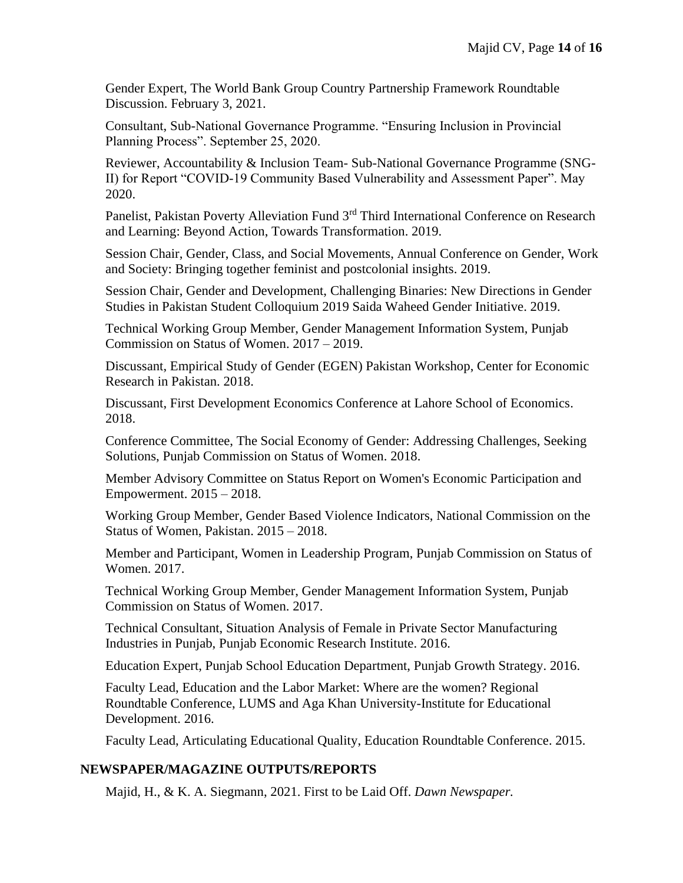Gender Expert, The World Bank Group Country Partnership Framework Roundtable Discussion. February 3, 2021.

Consultant, Sub-National Governance Programme. "Ensuring Inclusion in Provincial Planning Process". September 25, 2020.

Reviewer, Accountability & Inclusion Team- Sub-National Governance Programme (SNG-II) for Report "COVID-19 Community Based Vulnerability and Assessment Paper". May 2020.

Panelist, Pakistan Poverty Alleviation Fund 3<sup>rd</sup> Third International Conference on Research and Learning: Beyond Action, Towards Transformation. 2019.

Session Chair, Gender, Class, and Social Movements, Annual Conference on Gender, Work and Society: Bringing together feminist and postcolonial insights. 2019.

Session Chair, Gender and Development, Challenging Binaries: New Directions in Gender Studies in Pakistan Student Colloquium 2019 Saida Waheed Gender Initiative. 2019.

Technical Working Group Member, Gender Management Information System, Punjab Commission on Status of Women. 2017 – 2019.

Discussant, Empirical Study of Gender (EGEN) Pakistan Workshop, Center for Economic Research in Pakistan. 2018.

Discussant, First Development Economics Conference at Lahore School of Economics. 2018.

Conference Committee, The Social Economy of Gender: Addressing Challenges, Seeking Solutions, Punjab Commission on Status of Women. 2018.

Member Advisory Committee on Status Report on Women's Economic Participation and Empowerment. 2015 – 2018.

Working Group Member, Gender Based Violence Indicators, National Commission on the Status of Women, Pakistan. 2015 – 2018.

Member and Participant, Women in Leadership Program, Punjab Commission on Status of Women. 2017.

Technical Working Group Member, Gender Management Information System, Punjab Commission on Status of Women. 2017.

Technical Consultant, Situation Analysis of Female in Private Sector Manufacturing Industries in Punjab, Punjab Economic Research Institute. 2016.

Education Expert, Punjab School Education Department, Punjab Growth Strategy. 2016.

Faculty Lead, Education and the Labor Market: Where are the women? Regional Roundtable Conference, LUMS and Aga Khan University-Institute for Educational Development. 2016.

Faculty Lead, Articulating Educational Quality, Education Roundtable Conference. 2015.

### **NEWSPAPER/MAGAZINE OUTPUTS/REPORTS**

Majid, H., & K. A. Siegmann, 2021. First to be Laid Off. *Dawn Newspaper.*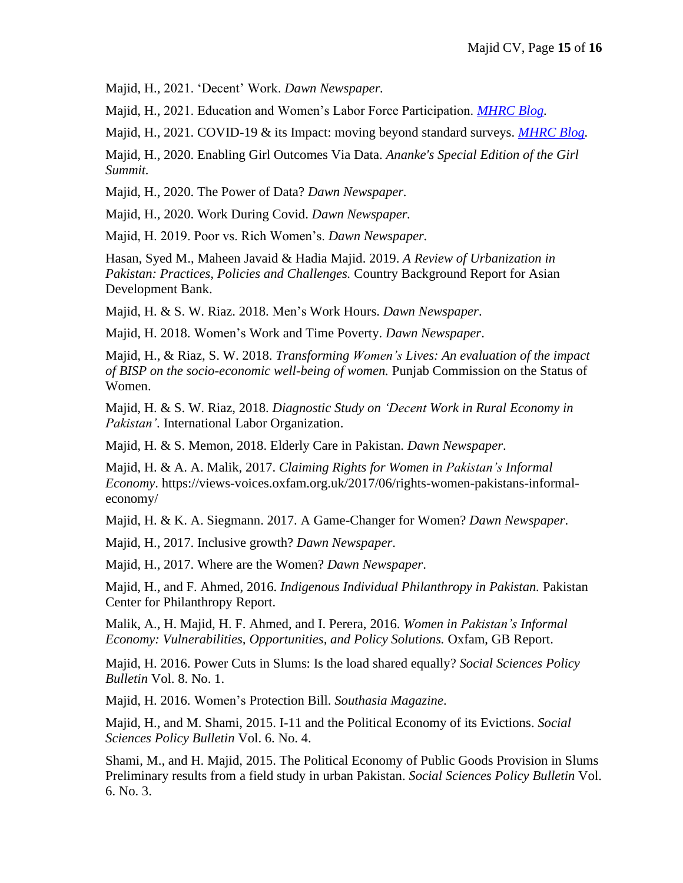Majid, H., 2021. 'Decent' Work. *Dawn Newspaper.* 

Majid, H., 2021. Education and Women's Labor Force Participation. *[MHRC Blog.](https://mhrc.lums.edu.pk/pakistan-dialogues/Education-and-Women%E2%80%99s-Labor-Force-Participation.html)* 

Majid, H., 2021. COVID-19 & its Impact: moving beyond standard surveys. *[MHRC Blog.](https://mhrc.lums.edu.pk/pakistan-dialogues/covid%E2%80%9319-its-impact-moving-beyond-standard-surveys.html)*

Majid, H., 2020. Enabling Girl Outcomes Via Data. *Ananke's Special Edition of the Girl Summit.*

Majid, H., 2020. The Power of Data? *Dawn Newspaper.* 

Majid, H., 2020. Work During Covid. *Dawn Newspaper.*

Majid, H. 2019. Poor vs. Rich Women's. *Dawn Newspaper.*

Hasan, Syed M., Maheen Javaid & Hadia Majid. 2019. *A Review of Urbanization in Pakistan: Practices, Policies and Challenges.* Country Background Report for Asian Development Bank.

Majid, H. & S. W. Riaz. 2018. Men's Work Hours. *Dawn Newspaper*.

Majid, H. 2018. Women's Work and Time Poverty. *Dawn Newspaper*.

Majid, H., & Riaz, S. W. 2018. *Transforming Women's Lives: An evaluation of the impact of BISP on the socio-economic well-being of women.* Punjab Commission on the Status of Women.

Majid, H. & S. W. Riaz, 2018. *Diagnostic Study on 'Decent Work in Rural Economy in Pakistan'*. International Labor Organization.

Majid, H. & S. Memon, 2018. Elderly Care in Pakistan. *Dawn Newspaper*.

Majid, H. & A. A. Malik, 2017. *Claiming Rights for Women in Pakistan's Informal Economy*. [https://views-voices.oxfam.org.uk/2017/06/rights-women-pakistans-informal](https://views-voices.oxfam.org.uk/2017/06/rights-women-pakistans-informal-economy/)[economy/](https://views-voices.oxfam.org.uk/2017/06/rights-women-pakistans-informal-economy/)

Majid, H. & K. A. Siegmann. 2017. A Game-Changer for Women? *Dawn Newspaper*.

Majid, H., 2017. Inclusive growth? *Dawn Newspaper*.

Majid, H., 2017. Where are the Women? *Dawn Newspaper*.

Majid, H., and F. Ahmed, 2016. *Indigenous Individual Philanthropy in Pakistan.* Pakistan Center for Philanthropy Report.

Malik, A., H. Majid, H. F. Ahmed, and I. Perera, 2016. *Women in Pakistan's Informal Economy: Vulnerabilities, Opportunities, and Policy Solutions.* Oxfam, GB Report.

Majid, H. 2016. Power Cuts in Slums: Is the load shared equally? *Social Sciences Policy Bulletin* Vol. 8. No. 1.

Majid, H. 2016. Women's Protection Bill. *Southasia Magazine*.

Majid, H., and M. Shami, 2015. I-11 and the Political Economy of its Evictions. *Social Sciences Policy Bulletin* Vol. 6. No. 4.

Shami, M., and H. Majid, 2015. The Political Economy of Public Goods Provision in Slums Preliminary results from a field study in urban Pakistan. *Social Sciences Policy Bulletin* Vol. 6. No. 3.